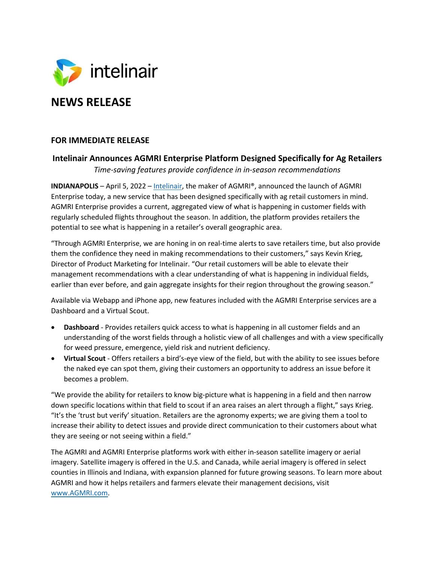

## **FOR IMMEDIATE RELEASE**

## **Intelinair Announces AGMRI Enterprise Platform Designed Specifically for Ag Retailers**

*Time-saving features provide confidence in in-season recommendations*

**INDIANAPOLIS** – April 5, 2022 – Intelinair, the maker of AGMRI®, announced the launch of AGMRI Enterprise today, a new service that has been designed specifically with ag retail customers in mind. AGMRI Enterprise provides a current, aggregated view of what is happening in customer fields with regularly scheduled flights throughout the season. In addition, the platform provides retailers the potential to see what is happening in a retailer's overall geographic area.

"Through AGMRI Enterprise, we are honing in on real-time alerts to save retailers time, but also provide them the confidence they need in making recommendations to their customers," says Kevin Krieg, Director of Product Marketing for Intelinair. "Our retail customers will be able to elevate their management recommendations with a clear understanding of what is happening in individual fields, earlier than ever before, and gain aggregate insights for their region throughout the growing season."

Available via Webapp and iPhone app, new features included with the AGMRI Enterprise services are a Dashboard and a Virtual Scout.

- **Dashboard** Provides retailers quick access to what is happening in all customer fields and an understanding of the worst fields through a holistic view of all challenges and with a view specifically for weed pressure, emergence, yield risk and nutrient deficiency.
- **Virtual Scout** Offers retailers a bird's-eye view of the field, but with the ability to see issues before the naked eye can spot them, giving their customers an opportunity to address an issue before it becomes a problem.

"We provide the ability for retailers to know big-picture what is happening in a field and then narrow down specific locations within that field to scout if an area raises an alert through a flight," says Krieg. "It's the 'trust but verify' situation. Retailers are the agronomy experts; we are giving them a tool to increase their ability to detect issues and provide direct communication to their customers about what they are seeing or not seeing within a field."

The AGMRI and AGMRI Enterprise platforms work with either in-season satellite imagery or aerial imagery. Satellite imagery is offered in the U.S. and Canada, while aerial imagery is offered in select counties in Illinois and Indiana, with expansion planned for future growing seasons. To learn more about AGMRI and how it helps retailers and farmers elevate their management decisions, visit www.AGMRI.com.